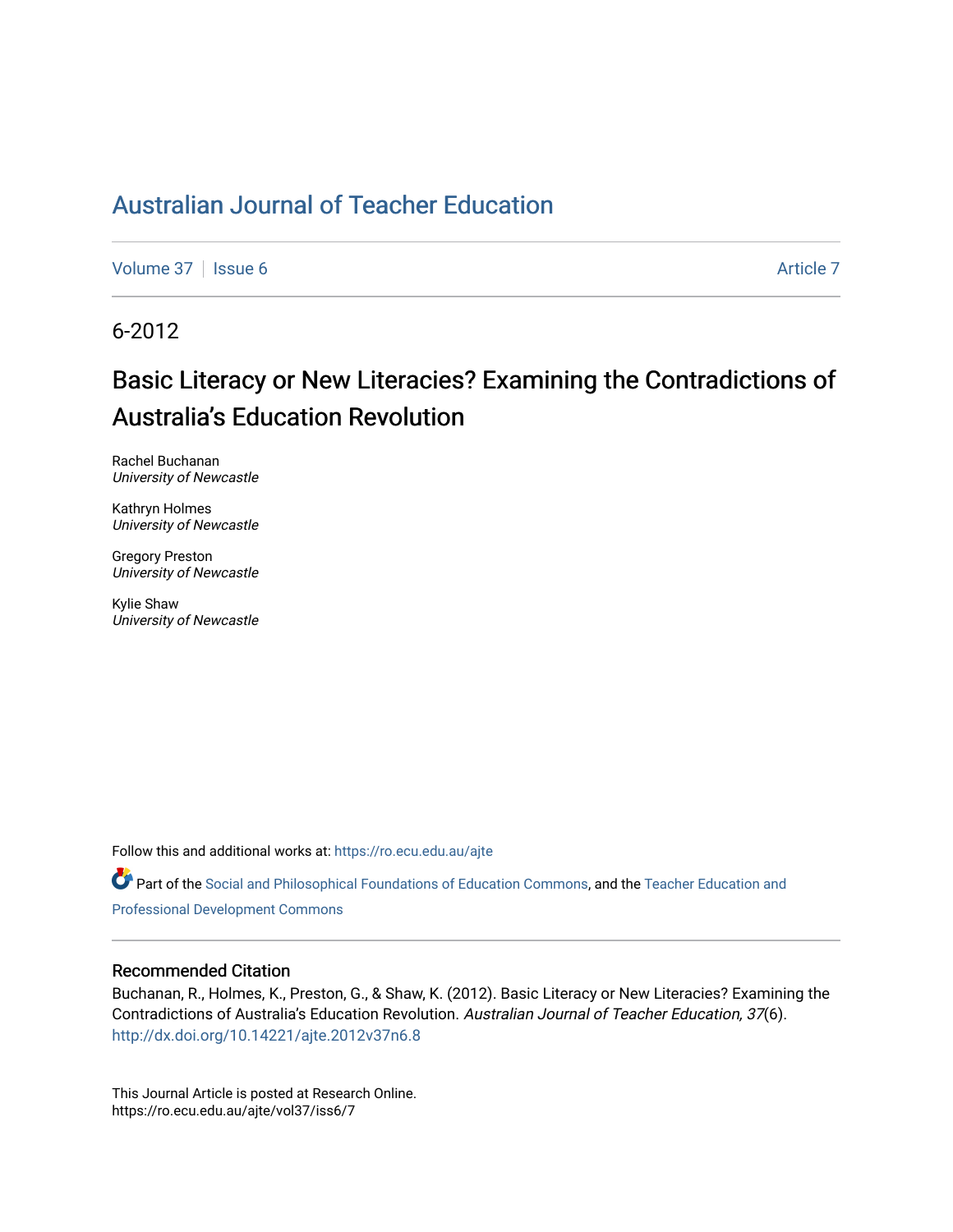[Volume 37](https://ro.ecu.edu.au/ajte/vol37) | [Issue 6](https://ro.ecu.edu.au/ajte/vol37/iss6) Article 7

6-2012

# Basic Literacy or New Literacies? Examining the Contradictions of Australia's Education Revolution

Rachel Buchanan University of Newcastle

Kathryn Holmes University of Newcastle

Gregory Preston University of Newcastle

Kylie Shaw University of Newcastle

Follow this and additional works at: [https://ro.ecu.edu.au/ajte](https://ro.ecu.edu.au/ajte?utm_source=ro.ecu.edu.au%2Fajte%2Fvol37%2Fiss6%2F7&utm_medium=PDF&utm_campaign=PDFCoverPages) 

Part of the [Social and Philosophical Foundations of Education Commons](http://network.bepress.com/hgg/discipline/799?utm_source=ro.ecu.edu.au%2Fajte%2Fvol37%2Fiss6%2F7&utm_medium=PDF&utm_campaign=PDFCoverPages), and the Teacher Education and [Professional Development Commons](http://network.bepress.com/hgg/discipline/803?utm_source=ro.ecu.edu.au%2Fajte%2Fvol37%2Fiss6%2F7&utm_medium=PDF&utm_campaign=PDFCoverPages) 

#### Recommended Citation

Buchanan, R., Holmes, K., Preston, G., & Shaw, K. (2012). Basic Literacy or New Literacies? Examining the Contradictions of Australia's Education Revolution. Australian Journal of Teacher Education, 37(6). <http://dx.doi.org/10.14221/ajte.2012v37n6.8>

This Journal Article is posted at Research Online. https://ro.ecu.edu.au/ajte/vol37/iss6/7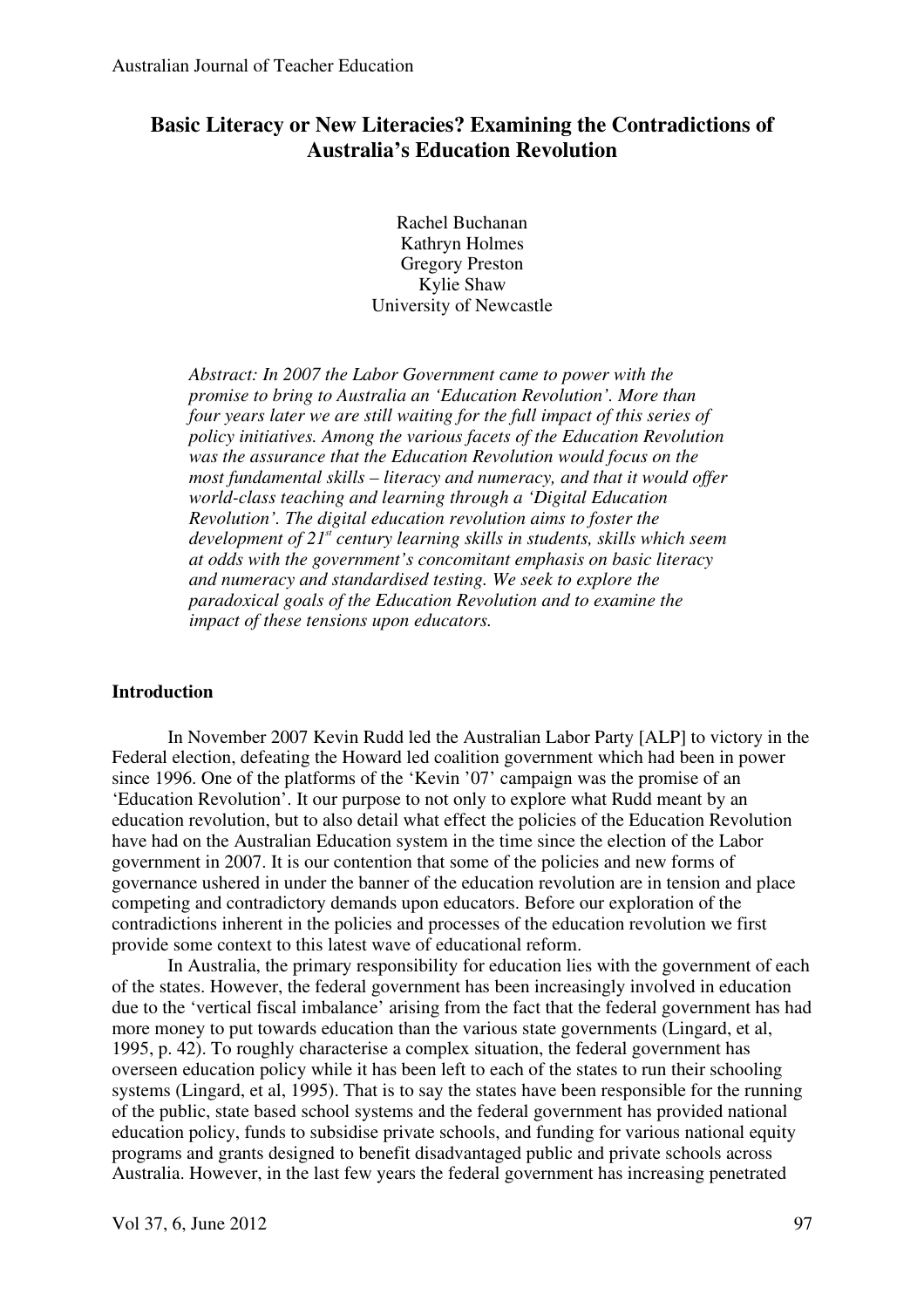## **Basic Literacy or New Literacies? Examining the Contradictions of Australia's Education Revolution**

Rachel Buchanan Kathryn Holmes Gregory Preston Kylie Shaw University of Newcastle

*Abstract: In 2007 the Labor Government came to power with the promise to bring to Australia an 'Education Revolution'. More than four years later we are still waiting for the full impact of this series of policy initiatives. Among the various facets of the Education Revolution was the assurance that the Education Revolution would focus on the most fundamental skills – literacy and numeracy, and that it would offer world-class teaching and learning through a 'Digital Education Revolution'. The digital education revolution aims to foster the development of 21st century learning skills in students, skills which seem at odds with the government's concomitant emphasis on basic literacy and numeracy and standardised testing. We seek to explore the paradoxical goals of the Education Revolution and to examine the impact of these tensions upon educators.* 

## **Introduction**

In November 2007 Kevin Rudd led the Australian Labor Party [ALP] to victory in the Federal election, defeating the Howard led coalition government which had been in power since 1996. One of the platforms of the 'Kevin '07' campaign was the promise of an 'Education Revolution'. It our purpose to not only to explore what Rudd meant by an education revolution, but to also detail what effect the policies of the Education Revolution have had on the Australian Education system in the time since the election of the Labor government in 2007. It is our contention that some of the policies and new forms of governance ushered in under the banner of the education revolution are in tension and place competing and contradictory demands upon educators. Before our exploration of the contradictions inherent in the policies and processes of the education revolution we first provide some context to this latest wave of educational reform.

In Australia, the primary responsibility for education lies with the government of each of the states. However, the federal government has been increasingly involved in education due to the 'vertical fiscal imbalance' arising from the fact that the federal government has had more money to put towards education than the various state governments (Lingard, et al, 1995, p. 42). To roughly characterise a complex situation, the federal government has overseen education policy while it has been left to each of the states to run their schooling systems (Lingard, et al, 1995). That is to say the states have been responsible for the running of the public, state based school systems and the federal government has provided national education policy, funds to subsidise private schools, and funding for various national equity programs and grants designed to benefit disadvantaged public and private schools across Australia. However, in the last few years the federal government has increasing penetrated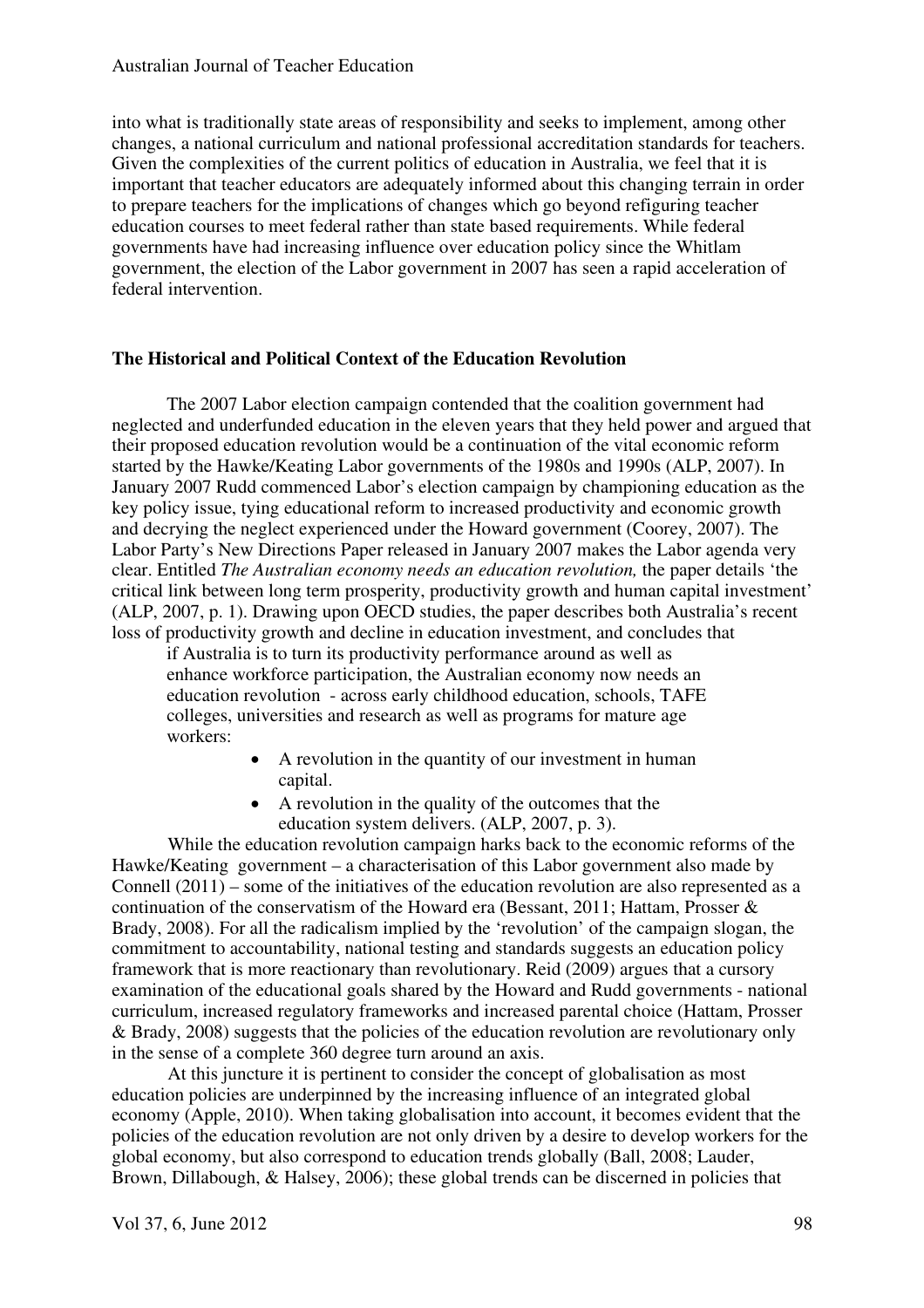into what is traditionally state areas of responsibility and seeks to implement, among other changes, a national curriculum and national professional accreditation standards for teachers. Given the complexities of the current politics of education in Australia, we feel that it is important that teacher educators are adequately informed about this changing terrain in order to prepare teachers for the implications of changes which go beyond refiguring teacher education courses to meet federal rather than state based requirements. While federal governments have had increasing influence over education policy since the Whitlam government, the election of the Labor government in 2007 has seen a rapid acceleration of federal intervention.

## **The Historical and Political Context of the Education Revolution**

The 2007 Labor election campaign contended that the coalition government had neglected and underfunded education in the eleven years that they held power and argued that their proposed education revolution would be a continuation of the vital economic reform started by the Hawke/Keating Labor governments of the 1980s and 1990s (ALP, 2007). In January 2007 Rudd commenced Labor's election campaign by championing education as the key policy issue, tying educational reform to increased productivity and economic growth and decrying the neglect experienced under the Howard government (Coorey, 2007). The Labor Party's New Directions Paper released in January 2007 makes the Labor agenda very clear. Entitled *The Australian economy needs an education revolution,* the paper details 'the critical link between long term prosperity, productivity growth and human capital investment' (ALP, 2007, p. 1). Drawing upon OECD studies, the paper describes both Australia's recent loss of productivity growth and decline in education investment, and concludes that

if Australia is to turn its productivity performance around as well as enhance workforce participation, the Australian economy now needs an education revolution - across early childhood education, schools, TAFE colleges, universities and research as well as programs for mature age workers:

- A revolution in the quantity of our investment in human capital.
- A revolution in the quality of the outcomes that the education system delivers. (ALP, 2007, p. 3).

While the education revolution campaign harks back to the economic reforms of the Hawke/Keating government – a characterisation of this Labor government also made by Connell (2011) – some of the initiatives of the education revolution are also represented as a continuation of the conservatism of the Howard era (Bessant, 2011; Hattam, Prosser & Brady, 2008). For all the radicalism implied by the 'revolution' of the campaign slogan, the commitment to accountability, national testing and standards suggests an education policy framework that is more reactionary than revolutionary. Reid (2009) argues that a cursory examination of the educational goals shared by the Howard and Rudd governments - national curriculum, increased regulatory frameworks and increased parental choice (Hattam, Prosser & Brady, 2008) suggests that the policies of the education revolution are revolutionary only in the sense of a complete 360 degree turn around an axis.

At this juncture it is pertinent to consider the concept of globalisation as most education policies are underpinned by the increasing influence of an integrated global economy (Apple, 2010). When taking globalisation into account, it becomes evident that the policies of the education revolution are not only driven by a desire to develop workers for the global economy, but also correspond to education trends globally (Ball, 2008; Lauder, Brown, Dillabough, & Halsey, 2006); these global trends can be discerned in policies that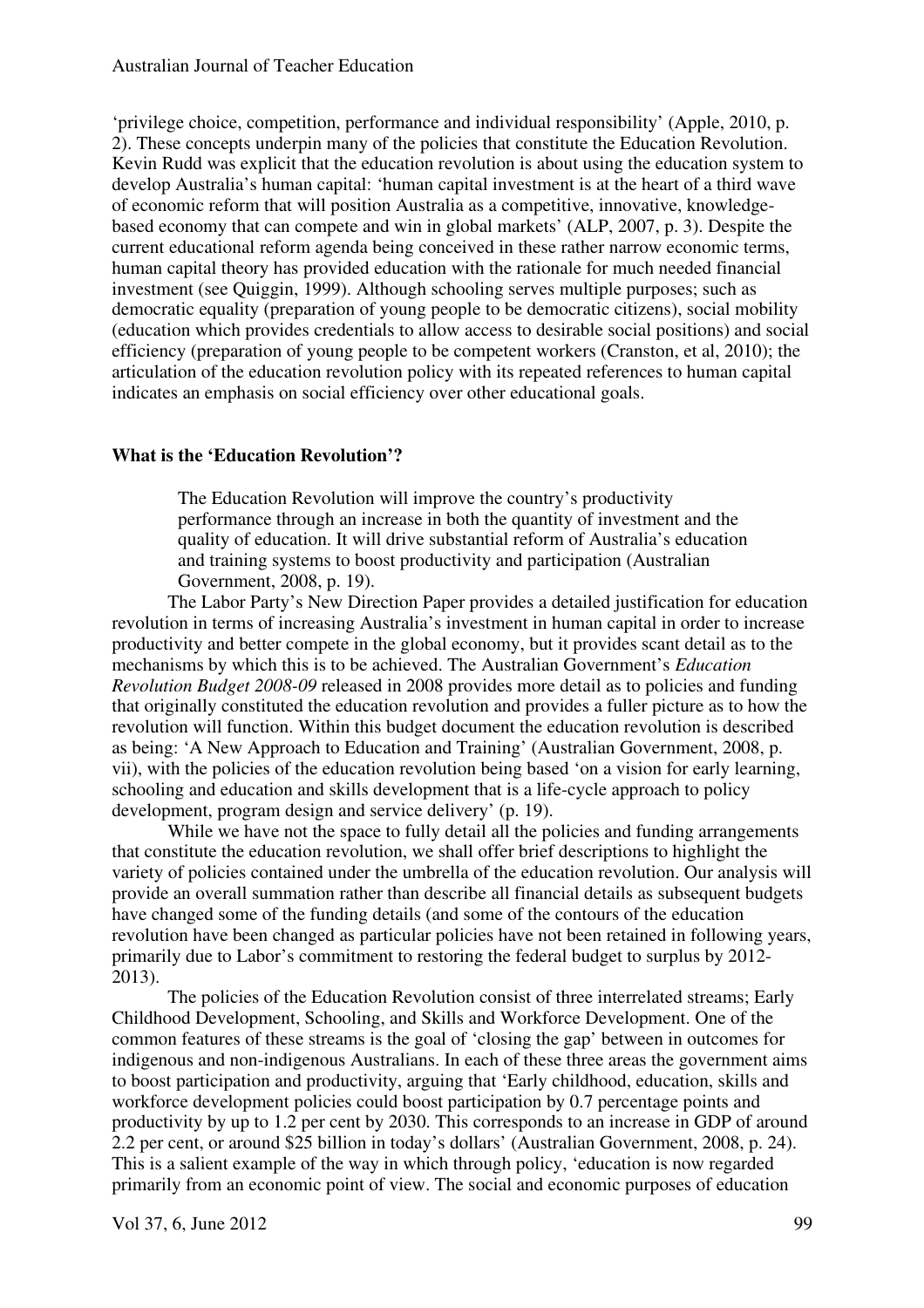'privilege choice, competition, performance and individual responsibility' (Apple, 2010, p. 2). These concepts underpin many of the policies that constitute the Education Revolution. Kevin Rudd was explicit that the education revolution is about using the education system to develop Australia's human capital: 'human capital investment is at the heart of a third wave of economic reform that will position Australia as a competitive, innovative, knowledgebased economy that can compete and win in global markets' (ALP, 2007, p. 3). Despite the current educational reform agenda being conceived in these rather narrow economic terms, human capital theory has provided education with the rationale for much needed financial investment (see Quiggin, 1999). Although schooling serves multiple purposes; such as democratic equality (preparation of young people to be democratic citizens), social mobility (education which provides credentials to allow access to desirable social positions) and social efficiency (preparation of young people to be competent workers (Cranston, et al, 2010); the articulation of the education revolution policy with its repeated references to human capital indicates an emphasis on social efficiency over other educational goals.

## **What is the 'Education Revolution'?**

The Education Revolution will improve the country's productivity performance through an increase in both the quantity of investment and the quality of education. It will drive substantial reform of Australia's education and training systems to boost productivity and participation (Australian Government, 2008, p. 19).

The Labor Party's New Direction Paper provides a detailed justification for education revolution in terms of increasing Australia's investment in human capital in order to increase productivity and better compete in the global economy, but it provides scant detail as to the mechanisms by which this is to be achieved. The Australian Government's *Education Revolution Budget 2008-09* released in 2008 provides more detail as to policies and funding that originally constituted the education revolution and provides a fuller picture as to how the revolution will function. Within this budget document the education revolution is described as being: 'A New Approach to Education and Training' (Australian Government, 2008, p. vii), with the policies of the education revolution being based 'on a vision for early learning, schooling and education and skills development that is a life-cycle approach to policy development, program design and service delivery' (p. 19).

While we have not the space to fully detail all the policies and funding arrangements that constitute the education revolution, we shall offer brief descriptions to highlight the variety of policies contained under the umbrella of the education revolution. Our analysis will provide an overall summation rather than describe all financial details as subsequent budgets have changed some of the funding details (and some of the contours of the education revolution have been changed as particular policies have not been retained in following years, primarily due to Labor's commitment to restoring the federal budget to surplus by 2012- 2013).

The policies of the Education Revolution consist of three interrelated streams; Early Childhood Development, Schooling, and Skills and Workforce Development. One of the common features of these streams is the goal of 'closing the gap' between in outcomes for indigenous and non-indigenous Australians. In each of these three areas the government aims to boost participation and productivity, arguing that 'Early childhood, education, skills and workforce development policies could boost participation by 0.7 percentage points and productivity by up to 1.2 per cent by 2030. This corresponds to an increase in GDP of around 2.2 per cent, or around \$25 billion in today's dollars' (Australian Government, 2008, p. 24). This is a salient example of the way in which through policy, 'education is now regarded primarily from an economic point of view. The social and economic purposes of education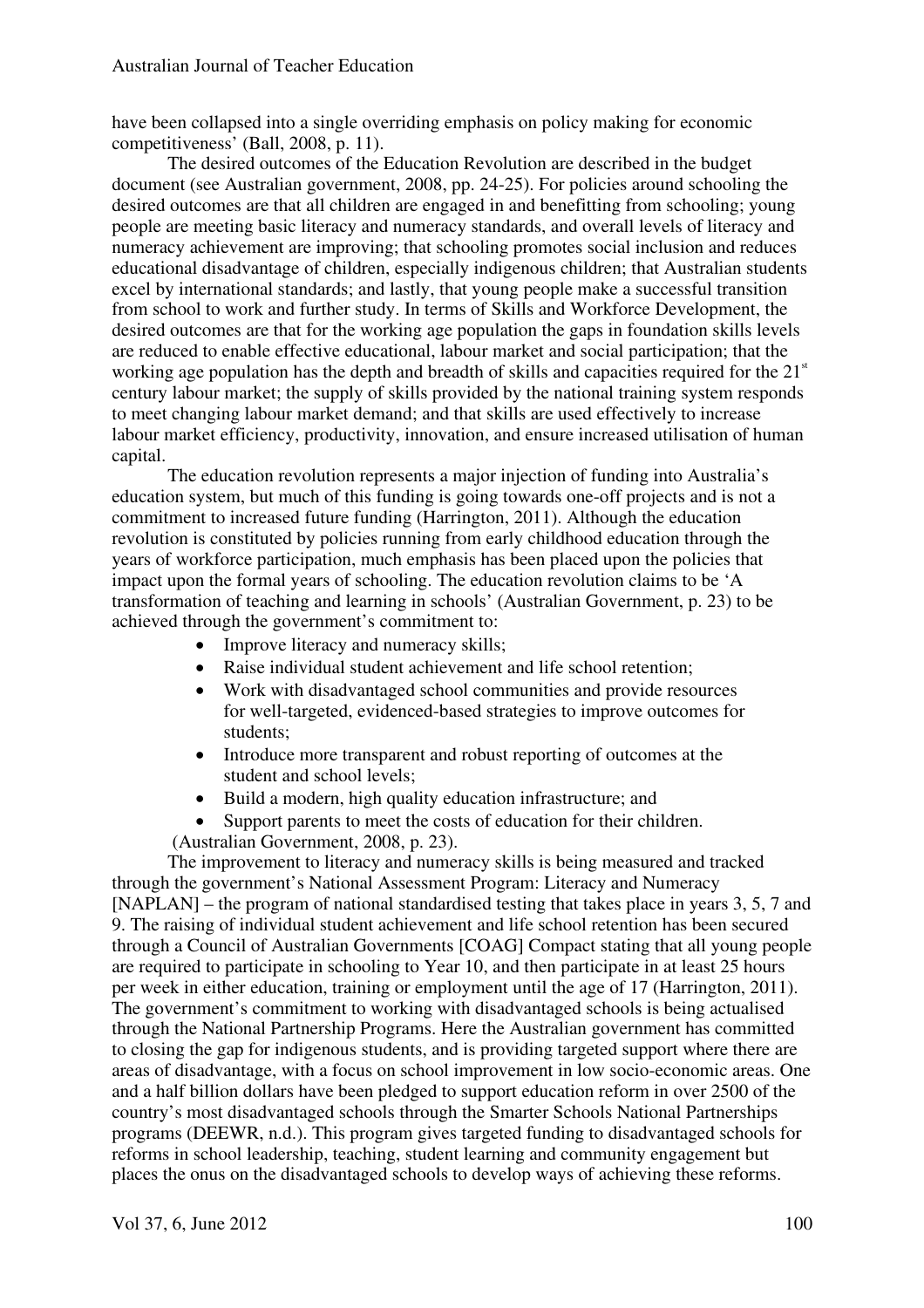have been collapsed into a single overriding emphasis on policy making for economic competitiveness' (Ball, 2008, p. 11).

The desired outcomes of the Education Revolution are described in the budget document (see Australian government, 2008, pp. 24-25). For policies around schooling the desired outcomes are that all children are engaged in and benefitting from schooling; young people are meeting basic literacy and numeracy standards, and overall levels of literacy and numeracy achievement are improving; that schooling promotes social inclusion and reduces educational disadvantage of children, especially indigenous children; that Australian students excel by international standards; and lastly, that young people make a successful transition from school to work and further study. In terms of Skills and Workforce Development, the desired outcomes are that for the working age population the gaps in foundation skills levels are reduced to enable effective educational, labour market and social participation; that the working age population has the depth and breadth of skills and capacities required for the  $21<sup>st</sup>$ century labour market; the supply of skills provided by the national training system responds to meet changing labour market demand; and that skills are used effectively to increase labour market efficiency, productivity, innovation, and ensure increased utilisation of human capital.

The education revolution represents a major injection of funding into Australia's education system, but much of this funding is going towards one-off projects and is not a commitment to increased future funding (Harrington, 2011). Although the education revolution is constituted by policies running from early childhood education through the years of workforce participation, much emphasis has been placed upon the policies that impact upon the formal years of schooling. The education revolution claims to be 'A transformation of teaching and learning in schools' (Australian Government, p. 23) to be achieved through the government's commitment to:

- Improve literacy and numeracy skills;
- Raise individual student achievement and life school retention;
- Work with disadvantaged school communities and provide resources for well-targeted, evidenced-based strategies to improve outcomes for students;
- Introduce more transparent and robust reporting of outcomes at the student and school levels;
- Build a modern, high quality education infrastructure; and
- Support parents to meet the costs of education for their children.

(Australian Government, 2008, p. 23).

The improvement to literacy and numeracy skills is being measured and tracked through the government's National Assessment Program: Literacy and Numeracy [NAPLAN] – the program of national standardised testing that takes place in years 3, 5, 7 and 9. The raising of individual student achievement and life school retention has been secured through a Council of Australian Governments [COAG] Compact stating that all young people are required to participate in schooling to Year 10, and then participate in at least 25 hours per week in either education, training or employment until the age of 17 (Harrington, 2011). The government's commitment to working with disadvantaged schools is being actualised through the National Partnership Programs. Here the Australian government has committed to closing the gap for indigenous students, and is providing targeted support where there are areas of disadvantage, with a focus on school improvement in low socio-economic areas. One and a half billion dollars have been pledged to support education reform in over 2500 of the country's most disadvantaged schools through the Smarter Schools National Partnerships programs (DEEWR, n.d.). This program gives targeted funding to disadvantaged schools for reforms in school leadership, teaching, student learning and community engagement but places the onus on the disadvantaged schools to develop ways of achieving these reforms.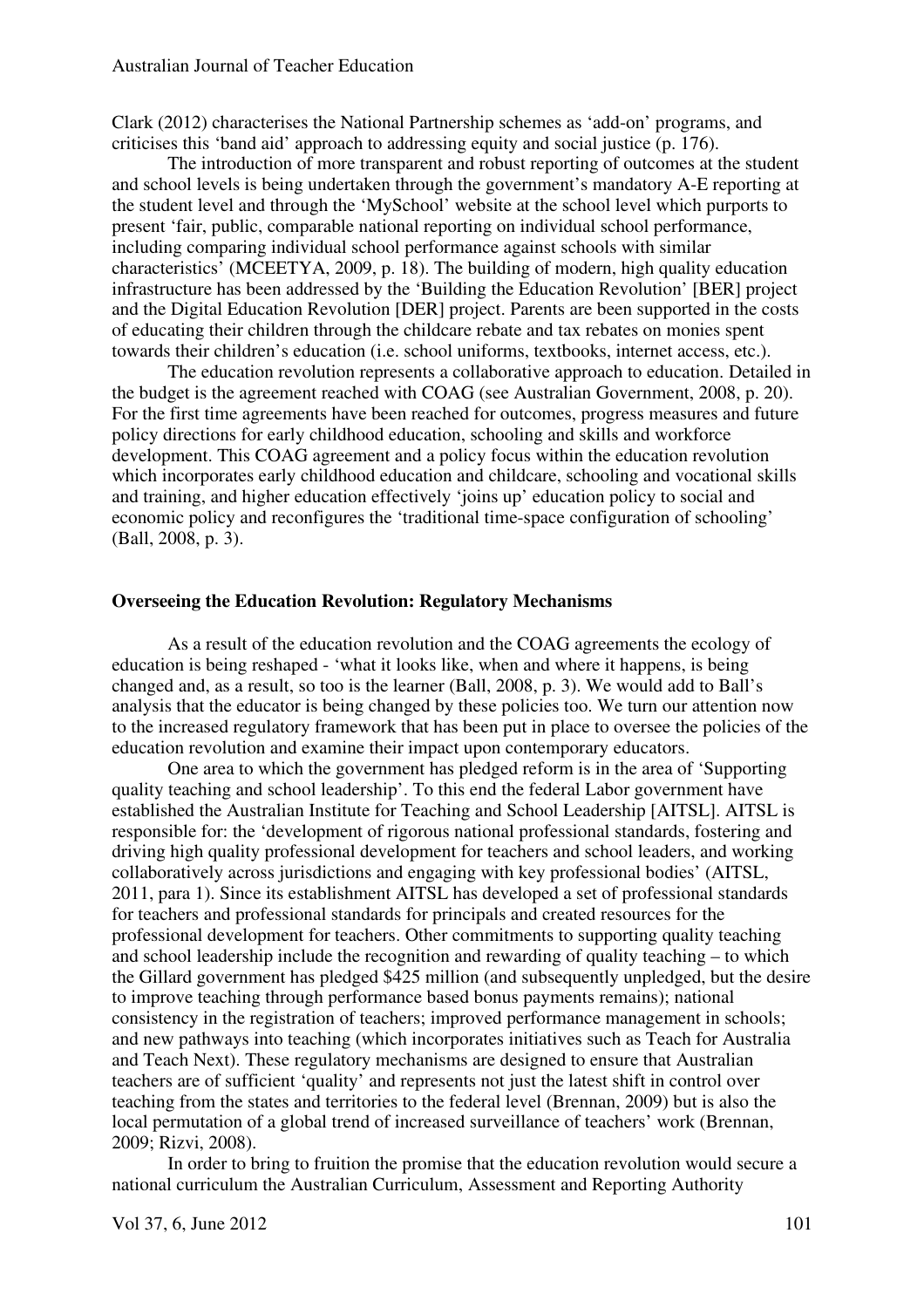Clark (2012) characterises the National Partnership schemes as 'add-on' programs, and criticises this 'band aid' approach to addressing equity and social justice (p. 176).

The introduction of more transparent and robust reporting of outcomes at the student and school levels is being undertaken through the government's mandatory A-E reporting at the student level and through the 'MySchool' website at the school level which purports to present 'fair, public, comparable national reporting on individual school performance, including comparing individual school performance against schools with similar characteristics' (MCEETYA, 2009, p. 18). The building of modern, high quality education infrastructure has been addressed by the 'Building the Education Revolution' [BER] project and the Digital Education Revolution [DER] project. Parents are been supported in the costs of educating their children through the childcare rebate and tax rebates on monies spent towards their children's education (i.e. school uniforms, textbooks, internet access, etc.).

The education revolution represents a collaborative approach to education. Detailed in the budget is the agreement reached with COAG (see Australian Government, 2008, p. 20). For the first time agreements have been reached for outcomes, progress measures and future policy directions for early childhood education, schooling and skills and workforce development. This COAG agreement and a policy focus within the education revolution which incorporates early childhood education and childcare, schooling and vocational skills and training, and higher education effectively 'joins up' education policy to social and economic policy and reconfigures the 'traditional time-space configuration of schooling' (Ball, 2008, p. 3).

#### **Overseeing the Education Revolution: Regulatory Mechanisms**

As a result of the education revolution and the COAG agreements the ecology of education is being reshaped - 'what it looks like, when and where it happens, is being changed and, as a result, so too is the learner (Ball, 2008, p. 3). We would add to Ball's analysis that the educator is being changed by these policies too. We turn our attention now to the increased regulatory framework that has been put in place to oversee the policies of the education revolution and examine their impact upon contemporary educators.

One area to which the government has pledged reform is in the area of 'Supporting quality teaching and school leadership'. To this end the federal Labor government have established the Australian Institute for Teaching and School Leadership [AITSL]. AITSL is responsible for: the 'development of rigorous national professional standards, fostering and driving high quality professional development for teachers and school leaders, and working collaboratively across jurisdictions and engaging with key professional bodies' (AITSL, 2011, para 1). Since its establishment AITSL has developed a set of professional standards for teachers and professional standards for principals and created resources for the professional development for teachers. Other commitments to supporting quality teaching and school leadership include the recognition and rewarding of quality teaching – to which the Gillard government has pledged \$425 million (and subsequently unpledged, but the desire to improve teaching through performance based bonus payments remains); national consistency in the registration of teachers; improved performance management in schools; and new pathways into teaching (which incorporates initiatives such as Teach for Australia and Teach Next). These regulatory mechanisms are designed to ensure that Australian teachers are of sufficient 'quality' and represents not just the latest shift in control over teaching from the states and territories to the federal level (Brennan, 2009) but is also the local permutation of a global trend of increased surveillance of teachers' work (Brennan, 2009; Rizvi, 2008).

In order to bring to fruition the promise that the education revolution would secure a national curriculum the Australian Curriculum, Assessment and Reporting Authority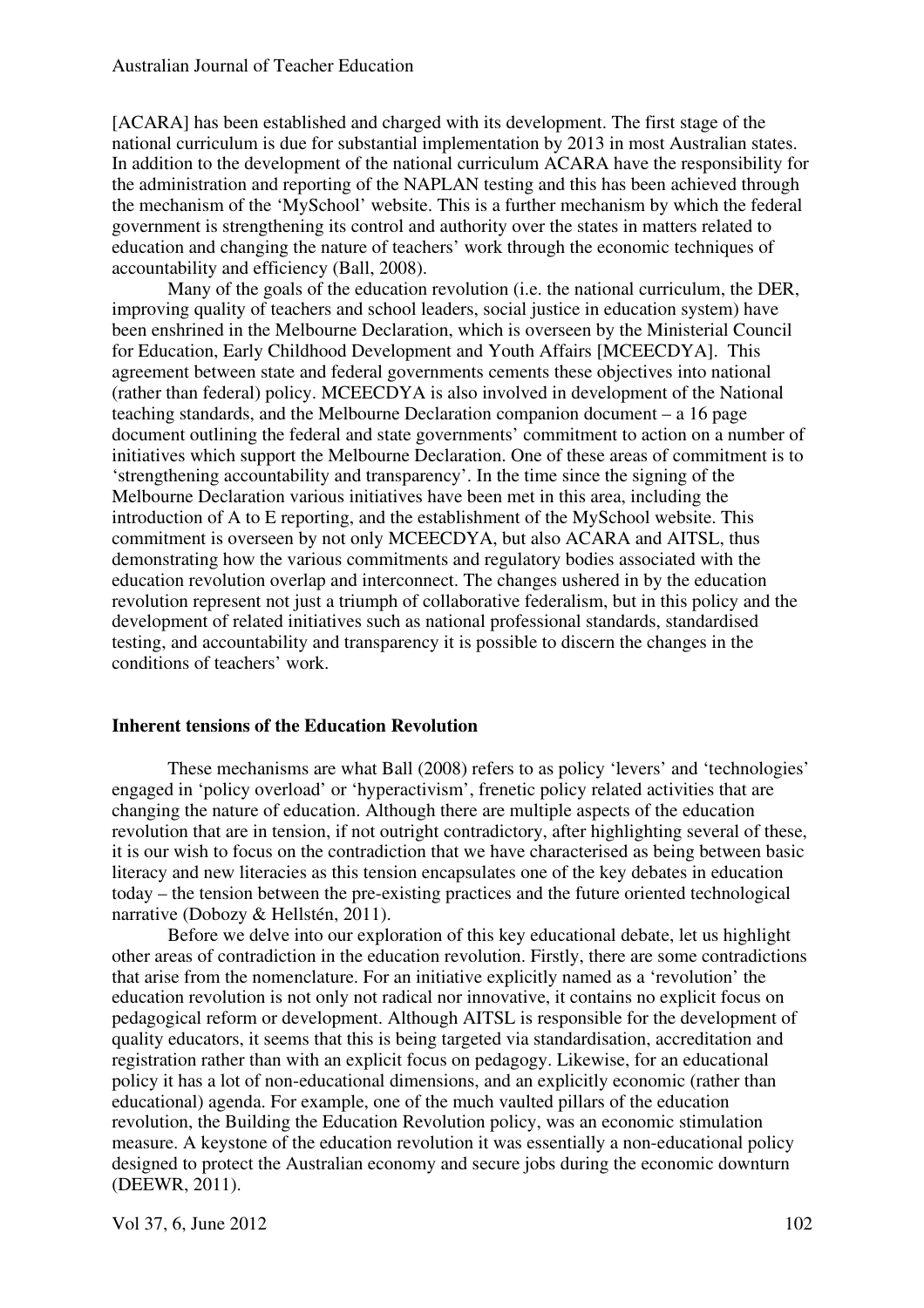[ACARA] has been established and charged with its development. The first stage of the national curriculum is due for substantial implementation by 2013 in most Australian states. In addition to the development of the national curriculum ACARA have the responsibility for the administration and reporting of the NAPLAN testing and this has been achieved through the mechanism of the 'MySchool' website. This is a further mechanism by which the federal government is strengthening its control and authority over the states in matters related to education and changing the nature of teachers' work through the economic techniques of accountability and efficiency (Ball, 2008).

Many of the goals of the education revolution (i.e. the national curriculum, the DER, improving quality of teachers and school leaders, social justice in education system) have been enshrined in the Melbourne Declaration, which is overseen by the Ministerial Council for Education, Early Childhood Development and Youth Affairs [MCEECDYA]. This agreement between state and federal governments cements these objectives into national (rather than federal) policy. MCEECDYA is also involved in development of the National teaching standards, and the Melbourne Declaration companion document – a 16 page document outlining the federal and state governments' commitment to action on a number of initiatives which support the Melbourne Declaration. One of these areas of commitment is to 'strengthening accountability and transparency'. In the time since the signing of the Melbourne Declaration various initiatives have been met in this area, including the introduction of A to E reporting, and the establishment of the MySchool website. This commitment is overseen by not only MCEECDYA, but also ACARA and AITSL, thus demonstrating how the various commitments and regulatory bodies associated with the education revolution overlap and interconnect. The changes ushered in by the education revolution represent not just a triumph of collaborative federalism, but in this policy and the development of related initiatives such as national professional standards, standardised testing, and accountability and transparency it is possible to discern the changes in the conditions of teachers' work.

## **Inherent tensions of the Education Revolution**

These mechanisms are what Ball (2008) refers to as policy 'levers' and 'technologies' engaged in 'policy overload' or 'hyperactivism', frenetic policy related activities that are changing the nature of education. Although there are multiple aspects of the education revolution that are in tension, if not outright contradictory, after highlighting several of these, it is our wish to focus on the contradiction that we have characterised as being between basic literacy and new literacies as this tension encapsulates one of the key debates in education today – the tension between the pre-existing practices and the future oriented technological narrative (Dobozy & Hellstén, 2011).

Before we delve into our exploration of this key educational debate, let us highlight other areas of contradiction in the education revolution. Firstly, there are some contradictions that arise from the nomenclature. For an initiative explicitly named as a 'revolution' the education revolution is not only not radical nor innovative, it contains no explicit focus on pedagogical reform or development. Although AITSL is responsible for the development of quality educators, it seems that this is being targeted via standardisation, accreditation and registration rather than with an explicit focus on pedagogy. Likewise, for an educational policy it has a lot of non-educational dimensions, and an explicitly economic (rather than educational) agenda. For example, one of the much vaulted pillars of the education revolution, the Building the Education Revolution policy, was an economic stimulation measure. A keystone of the education revolution it was essentially a non-educational policy designed to protect the Australian economy and secure jobs during the economic downturn (DEEWR, 2011).

Vol 37, 6, June 2012 102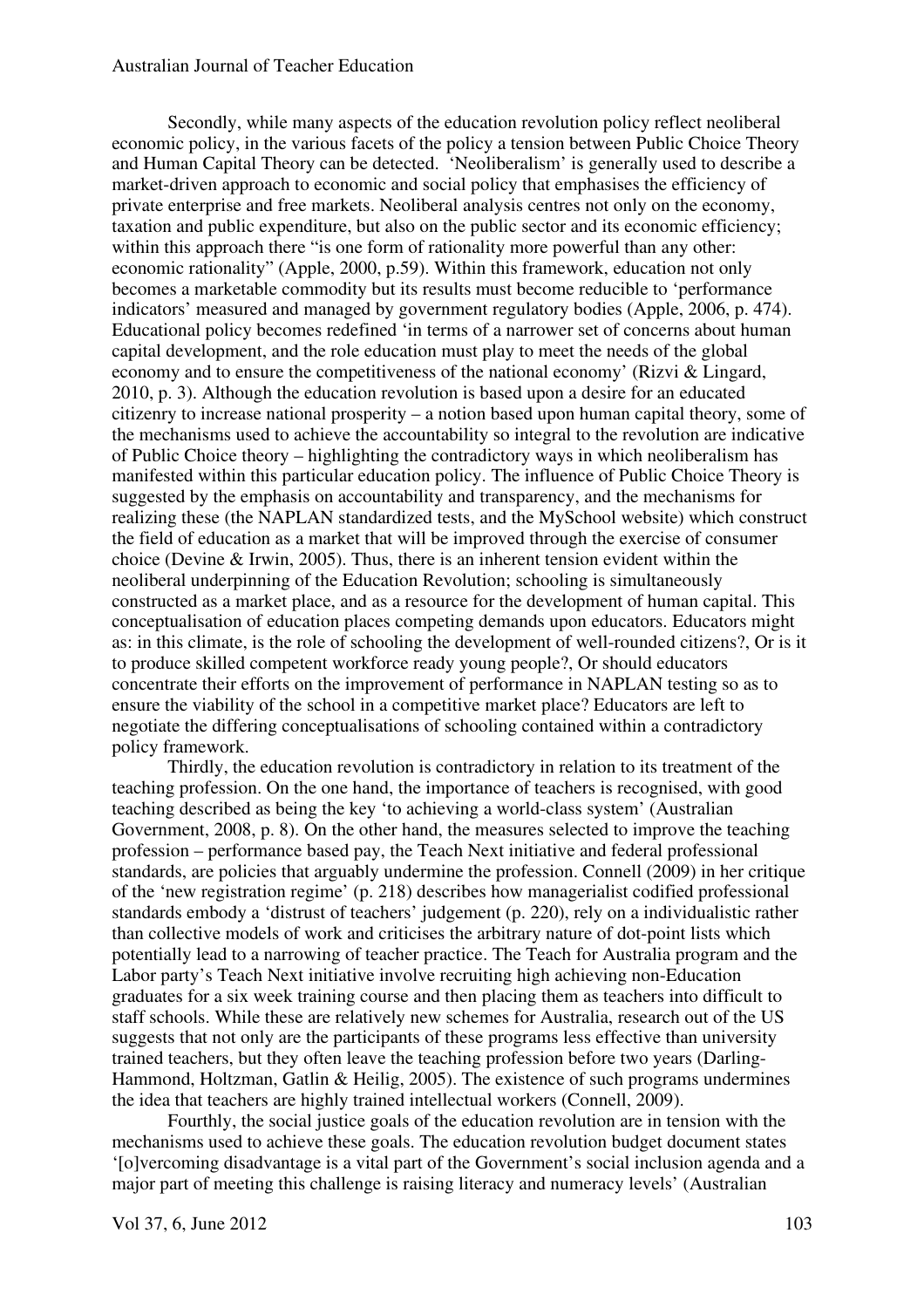Secondly, while many aspects of the education revolution policy reflect neoliberal economic policy, in the various facets of the policy a tension between Public Choice Theory and Human Capital Theory can be detected. 'Neoliberalism' is generally used to describe a market-driven approach to economic and social policy that emphasises the efficiency of private enterprise and free markets. Neoliberal analysis centres not only on the economy, taxation and public expenditure, but also on the public sector and its economic efficiency; within this approach there "is one form of rationality more powerful than any other: economic rationality" (Apple, 2000, p.59). Within this framework, education not only becomes a marketable commodity but its results must become reducible to 'performance indicators' measured and managed by government regulatory bodies (Apple, 2006, p. 474). Educational policy becomes redefined 'in terms of a narrower set of concerns about human capital development, and the role education must play to meet the needs of the global economy and to ensure the competitiveness of the national economy' (Rizvi & Lingard, 2010, p. 3). Although the education revolution is based upon a desire for an educated citizenry to increase national prosperity – a notion based upon human capital theory, some of the mechanisms used to achieve the accountability so integral to the revolution are indicative of Public Choice theory – highlighting the contradictory ways in which neoliberalism has manifested within this particular education policy. The influence of Public Choice Theory is suggested by the emphasis on accountability and transparency, and the mechanisms for realizing these (the NAPLAN standardized tests, and the MySchool website) which construct the field of education as a market that will be improved through the exercise of consumer choice (Devine & Irwin, 2005). Thus, there is an inherent tension evident within the neoliberal underpinning of the Education Revolution; schooling is simultaneously constructed as a market place, and as a resource for the development of human capital. This conceptualisation of education places competing demands upon educators. Educators might as: in this climate, is the role of schooling the development of well-rounded citizens?, Or is it to produce skilled competent workforce ready young people?, Or should educators concentrate their efforts on the improvement of performance in NAPLAN testing so as to ensure the viability of the school in a competitive market place? Educators are left to negotiate the differing conceptualisations of schooling contained within a contradictory policy framework.

Thirdly, the education revolution is contradictory in relation to its treatment of the teaching profession. On the one hand, the importance of teachers is recognised, with good teaching described as being the key 'to achieving a world-class system' (Australian Government, 2008, p. 8). On the other hand, the measures selected to improve the teaching profession – performance based pay, the Teach Next initiative and federal professional standards, are policies that arguably undermine the profession. Connell (2009) in her critique of the 'new registration regime' (p. 218) describes how managerialist codified professional standards embody a 'distrust of teachers' judgement (p. 220), rely on a individualistic rather than collective models of work and criticises the arbitrary nature of dot-point lists which potentially lead to a narrowing of teacher practice. The Teach for Australia program and the Labor party's Teach Next initiative involve recruiting high achieving non-Education graduates for a six week training course and then placing them as teachers into difficult to staff schools. While these are relatively new schemes for Australia, research out of the US suggests that not only are the participants of these programs less effective than university trained teachers, but they often leave the teaching profession before two years (Darling-Hammond, Holtzman, Gatlin & Heilig, 2005). The existence of such programs undermines the idea that teachers are highly trained intellectual workers (Connell, 2009).

Fourthly, the social justice goals of the education revolution are in tension with the mechanisms used to achieve these goals. The education revolution budget document states '[o]vercoming disadvantage is a vital part of the Government's social inclusion agenda and a major part of meeting this challenge is raising literacy and numeracy levels' (Australian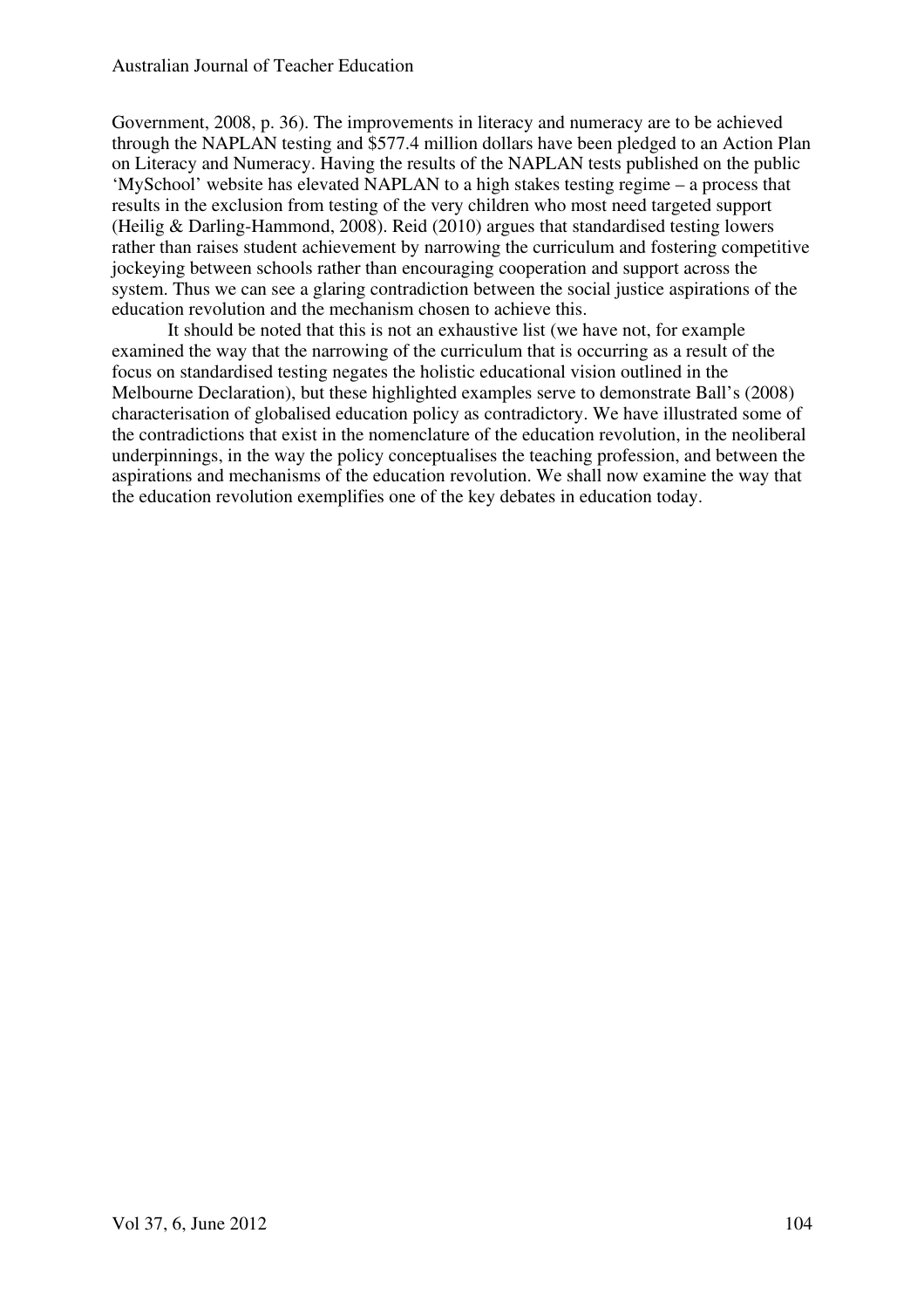Government, 2008, p. 36). The improvements in literacy and numeracy are to be achieved through the NAPLAN testing and \$577.4 million dollars have been pledged to an Action Plan on Literacy and Numeracy. Having the results of the NAPLAN tests published on the public 'MySchool' website has elevated NAPLAN to a high stakes testing regime – a process that results in the exclusion from testing of the very children who most need targeted support (Heilig & Darling-Hammond, 2008). Reid (2010) argues that standardised testing lowers rather than raises student achievement by narrowing the curriculum and fostering competitive jockeying between schools rather than encouraging cooperation and support across the system. Thus we can see a glaring contradiction between the social justice aspirations of the education revolution and the mechanism chosen to achieve this.

It should be noted that this is not an exhaustive list (we have not, for example examined the way that the narrowing of the curriculum that is occurring as a result of the focus on standardised testing negates the holistic educational vision outlined in the Melbourne Declaration), but these highlighted examples serve to demonstrate Ball's (2008) characterisation of globalised education policy as contradictory. We have illustrated some of the contradictions that exist in the nomenclature of the education revolution, in the neoliberal underpinnings, in the way the policy conceptualises the teaching profession, and between the aspirations and mechanisms of the education revolution. We shall now examine the way that the education revolution exemplifies one of the key debates in education today.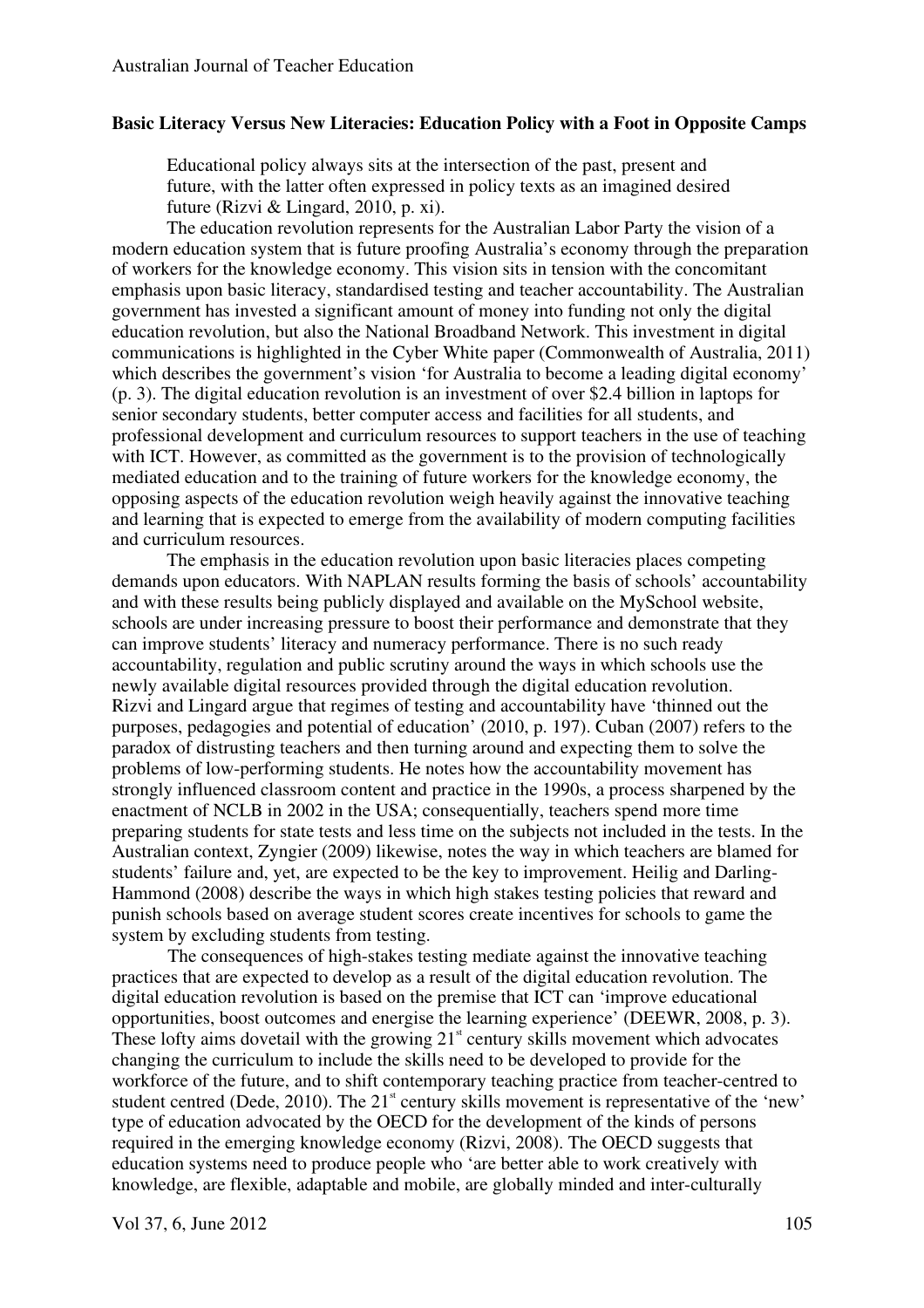### **Basic Literacy Versus New Literacies: Education Policy with a Foot in Opposite Camps**

Educational policy always sits at the intersection of the past, present and future, with the latter often expressed in policy texts as an imagined desired future (Rizvi & Lingard, 2010, p. xi).

The education revolution represents for the Australian Labor Party the vision of a modern education system that is future proofing Australia's economy through the preparation of workers for the knowledge economy. This vision sits in tension with the concomitant emphasis upon basic literacy, standardised testing and teacher accountability. The Australian government has invested a significant amount of money into funding not only the digital education revolution, but also the National Broadband Network. This investment in digital communications is highlighted in the Cyber White paper (Commonwealth of Australia, 2011) which describes the government's vision 'for Australia to become a leading digital economy' (p. 3). The digital education revolution is an investment of over \$2.4 billion in laptops for senior secondary students, better computer access and facilities for all students, and professional development and curriculum resources to support teachers in the use of teaching with ICT. However, as committed as the government is to the provision of technologically mediated education and to the training of future workers for the knowledge economy, the opposing aspects of the education revolution weigh heavily against the innovative teaching and learning that is expected to emerge from the availability of modern computing facilities and curriculum resources.

The emphasis in the education revolution upon basic literacies places competing demands upon educators. With NAPLAN results forming the basis of schools' accountability and with these results being publicly displayed and available on the MySchool website, schools are under increasing pressure to boost their performance and demonstrate that they can improve students' literacy and numeracy performance. There is no such ready accountability, regulation and public scrutiny around the ways in which schools use the newly available digital resources provided through the digital education revolution. Rizvi and Lingard argue that regimes of testing and accountability have 'thinned out the purposes, pedagogies and potential of education' (2010, p. 197). Cuban (2007) refers to the paradox of distrusting teachers and then turning around and expecting them to solve the problems of low-performing students. He notes how the accountability movement has strongly influenced classroom content and practice in the 1990s, a process sharpened by the enactment of NCLB in 2002 in the USA; consequentially, teachers spend more time preparing students for state tests and less time on the subjects not included in the tests. In the Australian context, Zyngier (2009) likewise, notes the way in which teachers are blamed for students' failure and, yet, are expected to be the key to improvement. Heilig and Darling-Hammond (2008) describe the ways in which high stakes testing policies that reward and punish schools based on average student scores create incentives for schools to game the system by excluding students from testing.

The consequences of high-stakes testing mediate against the innovative teaching practices that are expected to develop as a result of the digital education revolution. The digital education revolution is based on the premise that ICT can 'improve educational opportunities, boost outcomes and energise the learning experience' (DEEWR, 2008, p. 3). These lofty aims dovetail with the growing  $21<sup>st</sup>$  century skills movement which advocates changing the curriculum to include the skills need to be developed to provide for the workforce of the future, and to shift contemporary teaching practice from teacher-centred to student centred (Dede, 2010). The  $21<sup>st</sup>$  century skills movement is representative of the 'new' type of education advocated by the OECD for the development of the kinds of persons required in the emerging knowledge economy (Rizvi, 2008). The OECD suggests that education systems need to produce people who 'are better able to work creatively with knowledge, are flexible, adaptable and mobile, are globally minded and inter-culturally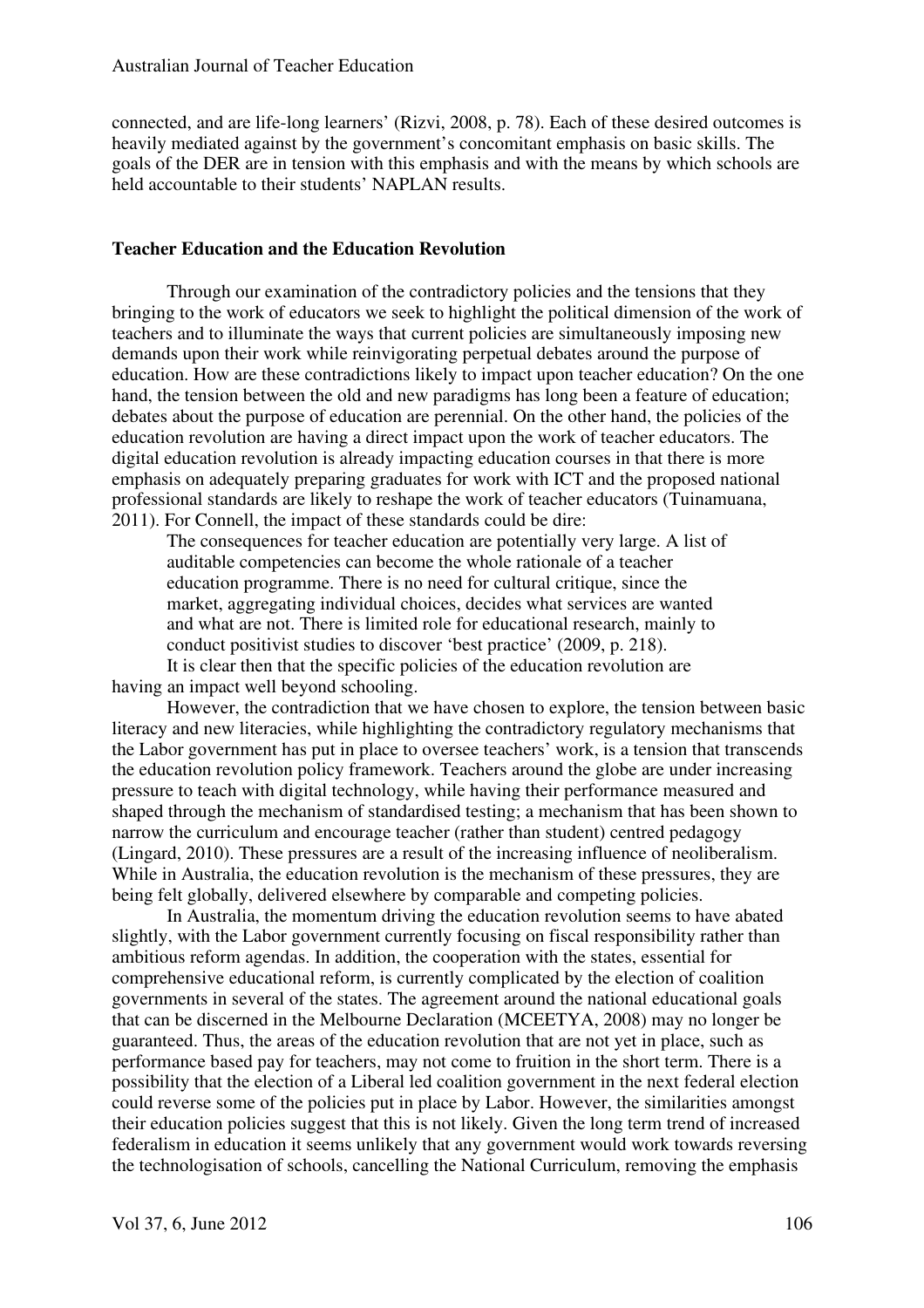connected, and are life-long learners' (Rizvi, 2008, p. 78). Each of these desired outcomes is heavily mediated against by the government's concomitant emphasis on basic skills. The goals of the DER are in tension with this emphasis and with the means by which schools are held accountable to their students' NAPLAN results.

## **Teacher Education and the Education Revolution**

Through our examination of the contradictory policies and the tensions that they bringing to the work of educators we seek to highlight the political dimension of the work of teachers and to illuminate the ways that current policies are simultaneously imposing new demands upon their work while reinvigorating perpetual debates around the purpose of education. How are these contradictions likely to impact upon teacher education? On the one hand, the tension between the old and new paradigms has long been a feature of education; debates about the purpose of education are perennial. On the other hand, the policies of the education revolution are having a direct impact upon the work of teacher educators. The digital education revolution is already impacting education courses in that there is more emphasis on adequately preparing graduates for work with ICT and the proposed national professional standards are likely to reshape the work of teacher educators (Tuinamuana, 2011). For Connell, the impact of these standards could be dire:

The consequences for teacher education are potentially very large. A list of auditable competencies can become the whole rationale of a teacher education programme. There is no need for cultural critique, since the market, aggregating individual choices, decides what services are wanted and what are not. There is limited role for educational research, mainly to conduct positivist studies to discover 'best practice' (2009, p. 218).

It is clear then that the specific policies of the education revolution are having an impact well beyond schooling.

However, the contradiction that we have chosen to explore, the tension between basic literacy and new literacies, while highlighting the contradictory regulatory mechanisms that the Labor government has put in place to oversee teachers' work, is a tension that transcends the education revolution policy framework. Teachers around the globe are under increasing pressure to teach with digital technology, while having their performance measured and shaped through the mechanism of standardised testing; a mechanism that has been shown to narrow the curriculum and encourage teacher (rather than student) centred pedagogy (Lingard, 2010). These pressures are a result of the increasing influence of neoliberalism. While in Australia, the education revolution is the mechanism of these pressures, they are being felt globally, delivered elsewhere by comparable and competing policies.

In Australia, the momentum driving the education revolution seems to have abated slightly, with the Labor government currently focusing on fiscal responsibility rather than ambitious reform agendas. In addition, the cooperation with the states, essential for comprehensive educational reform, is currently complicated by the election of coalition governments in several of the states. The agreement around the national educational goals that can be discerned in the Melbourne Declaration (MCEETYA, 2008) may no longer be guaranteed. Thus, the areas of the education revolution that are not yet in place, such as performance based pay for teachers, may not come to fruition in the short term. There is a possibility that the election of a Liberal led coalition government in the next federal election could reverse some of the policies put in place by Labor. However, the similarities amongst their education policies suggest that this is not likely. Given the long term trend of increased federalism in education it seems unlikely that any government would work towards reversing the technologisation of schools, cancelling the National Curriculum, removing the emphasis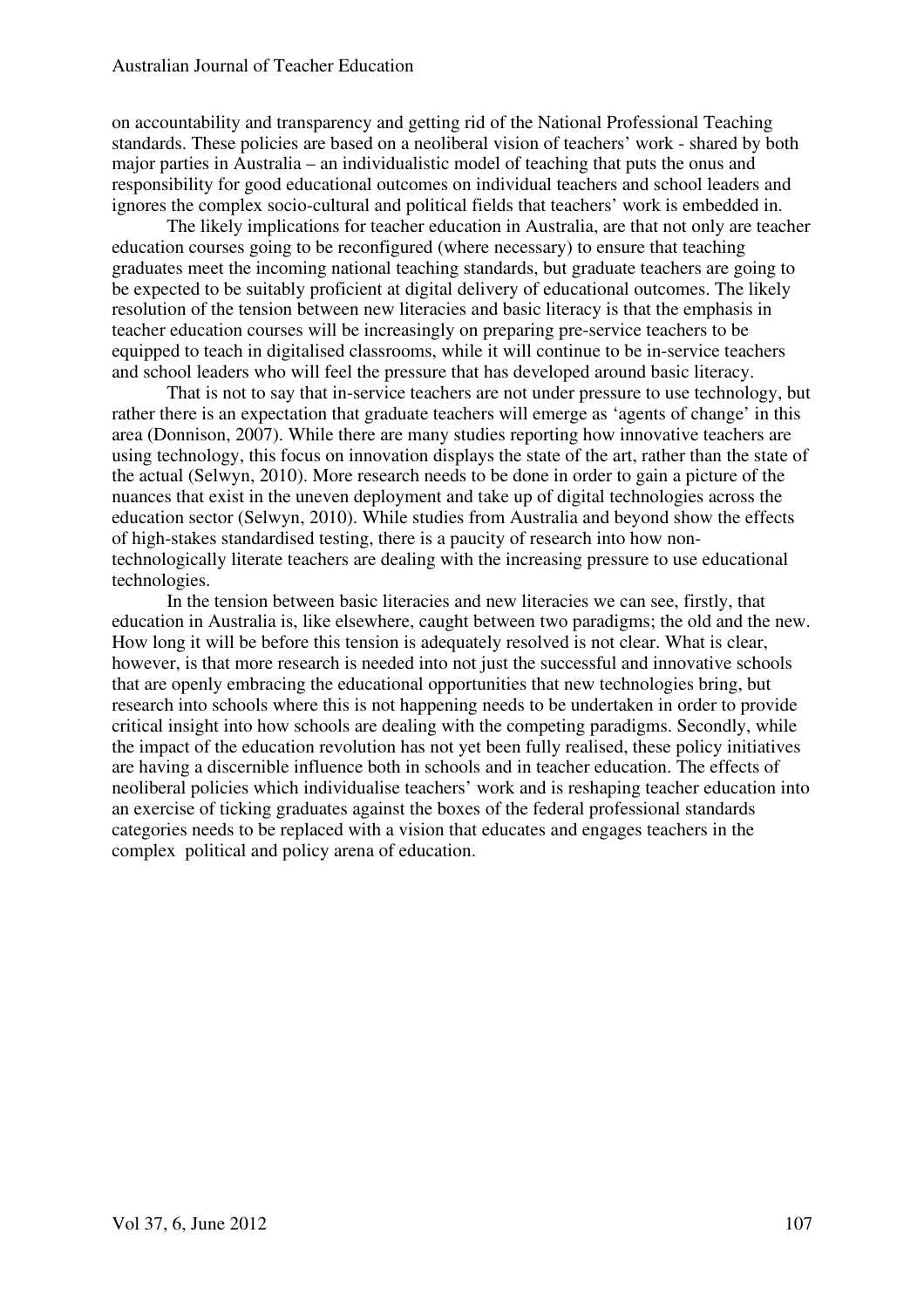on accountability and transparency and getting rid of the National Professional Teaching standards. These policies are based on a neoliberal vision of teachers' work - shared by both major parties in Australia – an individualistic model of teaching that puts the onus and responsibility for good educational outcomes on individual teachers and school leaders and ignores the complex socio-cultural and political fields that teachers' work is embedded in.

The likely implications for teacher education in Australia, are that not only are teacher education courses going to be reconfigured (where necessary) to ensure that teaching graduates meet the incoming national teaching standards, but graduate teachers are going to be expected to be suitably proficient at digital delivery of educational outcomes. The likely resolution of the tension between new literacies and basic literacy is that the emphasis in teacher education courses will be increasingly on preparing pre-service teachers to be equipped to teach in digitalised classrooms, while it will continue to be in-service teachers and school leaders who will feel the pressure that has developed around basic literacy.

That is not to say that in-service teachers are not under pressure to use technology, but rather there is an expectation that graduate teachers will emerge as 'agents of change' in this area (Donnison, 2007). While there are many studies reporting how innovative teachers are using technology, this focus on innovation displays the state of the art, rather than the state of the actual (Selwyn, 2010). More research needs to be done in order to gain a picture of the nuances that exist in the uneven deployment and take up of digital technologies across the education sector (Selwyn, 2010). While studies from Australia and beyond show the effects of high-stakes standardised testing, there is a paucity of research into how nontechnologically literate teachers are dealing with the increasing pressure to use educational technologies.

In the tension between basic literacies and new literacies we can see, firstly, that education in Australia is, like elsewhere, caught between two paradigms; the old and the new. How long it will be before this tension is adequately resolved is not clear. What is clear, however, is that more research is needed into not just the successful and innovative schools that are openly embracing the educational opportunities that new technologies bring, but research into schools where this is not happening needs to be undertaken in order to provide critical insight into how schools are dealing with the competing paradigms. Secondly, while the impact of the education revolution has not yet been fully realised, these policy initiatives are having a discernible influence both in schools and in teacher education. The effects of neoliberal policies which individualise teachers' work and is reshaping teacher education into an exercise of ticking graduates against the boxes of the federal professional standards categories needs to be replaced with a vision that educates and engages teachers in the complex political and policy arena of education.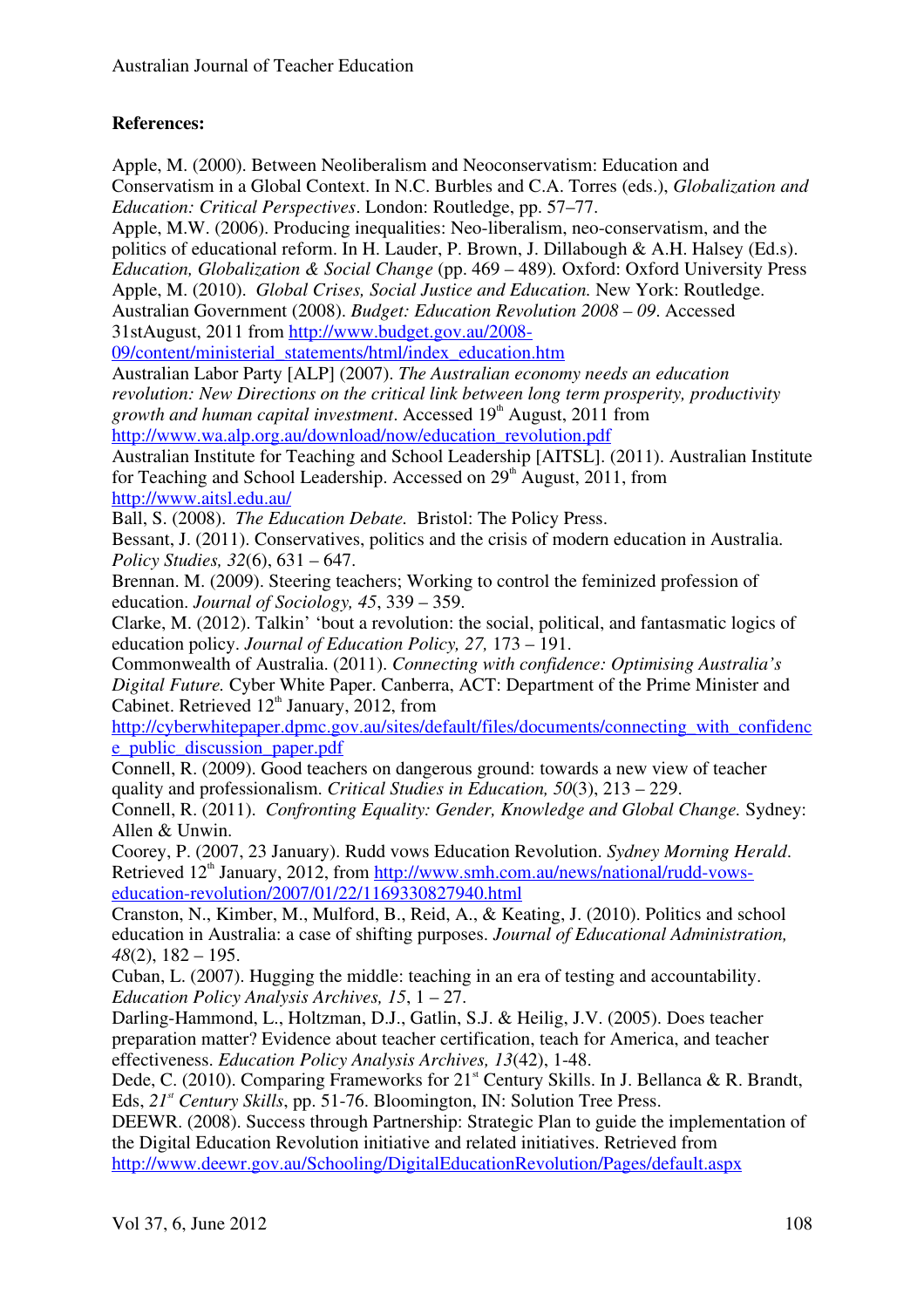## **References:**

Apple, M. (2000). Between Neoliberalism and Neoconservatism: Education and Conservatism in a Global Context. In N.C. Burbles and C.A. Torres (eds.), *Globalization and Education: Critical Perspectives*. London: Routledge, pp. 57–77. Apple, M.W. (2006). Producing inequalities: Neo-liberalism, neo-conservatism, and the politics of educational reform. In H. Lauder, P. Brown, J. Dillabough & A.H. Halsey (Ed.s). *Education, Globalization & Social Change* (pp. 469 – 489)*.* Oxford: Oxford University Press Apple, M. (2010). *Global Crises, Social Justice and Education.* New York: Routledge. Australian Government (2008). *Budget: Education Revolution 2008 – 09*. Accessed 31stAugust, 2011 from http://www.budget.gov.au/2008- 09/content/ministerial\_statements/html/index\_education.htm Australian Labor Party [ALP] (2007). *The Australian economy needs an education revolution: New Directions on the critical link between long term prosperity, productivity*  growth and human capital investment. Accessed 19<sup>th</sup> August, 2011 from http://www.wa.alp.org.au/download/now/education\_revolution.pdf Australian Institute for Teaching and School Leadership [AITSL]. (2011). Australian Institute for Teaching and School Leadership. Accessed on  $29<sup>th</sup>$  August, 2011, from http://www.aitsl.edu.au/ Ball, S. (2008). *The Education Debate.* Bristol: The Policy Press. Bessant, J. (2011). Conservatives, politics and the crisis of modern education in Australia. *Policy Studies, 32*(6), 631 – 647. Brennan. M. (2009). Steering teachers; Working to control the feminized profession of education. *Journal of Sociology, 45*, 339 – 359. Clarke, M. (2012). Talkin' 'bout a revolution: the social, political, and fantasmatic logics of education policy. *Journal of Education Policy, 27,* 173 – 191. Commonwealth of Australia. (2011). *Connecting with confidence: Optimising Australia's Digital Future.* Cyber White Paper. Canberra, ACT: Department of the Prime Minister and Cabinet. Retrieved  $12<sup>th</sup>$  January, 2012, from http://cyberwhitepaper.dpmc.gov.au/sites/default/files/documents/connecting\_with\_confidenc e\_public\_discussion\_paper.pdf Connell, R. (2009). Good teachers on dangerous ground: towards a new view of teacher quality and professionalism. *Critical Studies in Education, 50*(3), 213 – 229. Connell, R. (2011). *Confronting Equality: Gender, Knowledge and Global Change.* Sydney: Allen & Unwin. Coorey, P. (2007, 23 January). Rudd vows Education Revolution. *Sydney Morning Herald*. Retrieved 12<sup>th</sup> January, 2012, from http://www.smh.com.au/news/national/rudd-vowseducation-revolution/2007/01/22/1169330827940.html Cranston, N., Kimber, M., Mulford, B., Reid, A., & Keating, J. (2010). Politics and school education in Australia: a case of shifting purposes. *Journal of Educational Administration, 48*(2), 182 – 195. Cuban, L. (2007). Hugging the middle: teaching in an era of testing and accountability. *Education Policy Analysis Archives, 15*, 1 – 27. Darling-Hammond, L., Holtzman, D.J., Gatlin, S.J. & Heilig, J.V. (2005). Does teacher preparation matter? Evidence about teacher certification, teach for America, and teacher effectiveness. *Education Policy Analysis Archives, 13*(42), 1-48. Dede, C. (2010). Comparing Frameworks for  $21<sup>st</sup>$  Century Skills. In J. Bellanca & R. Brandt, Eds,  $2I<sup>s</sup>$  *Century Skills*, pp. 51-76. Bloomington, IN: Solution Tree Press. DEEWR. (2008). Success through Partnership: Strategic Plan to guide the implementation of the Digital Education Revolution initiative and related initiatives. Retrieved from http://www.deewr.gov.au/Schooling/DigitalEducationRevolution/Pages/default.aspx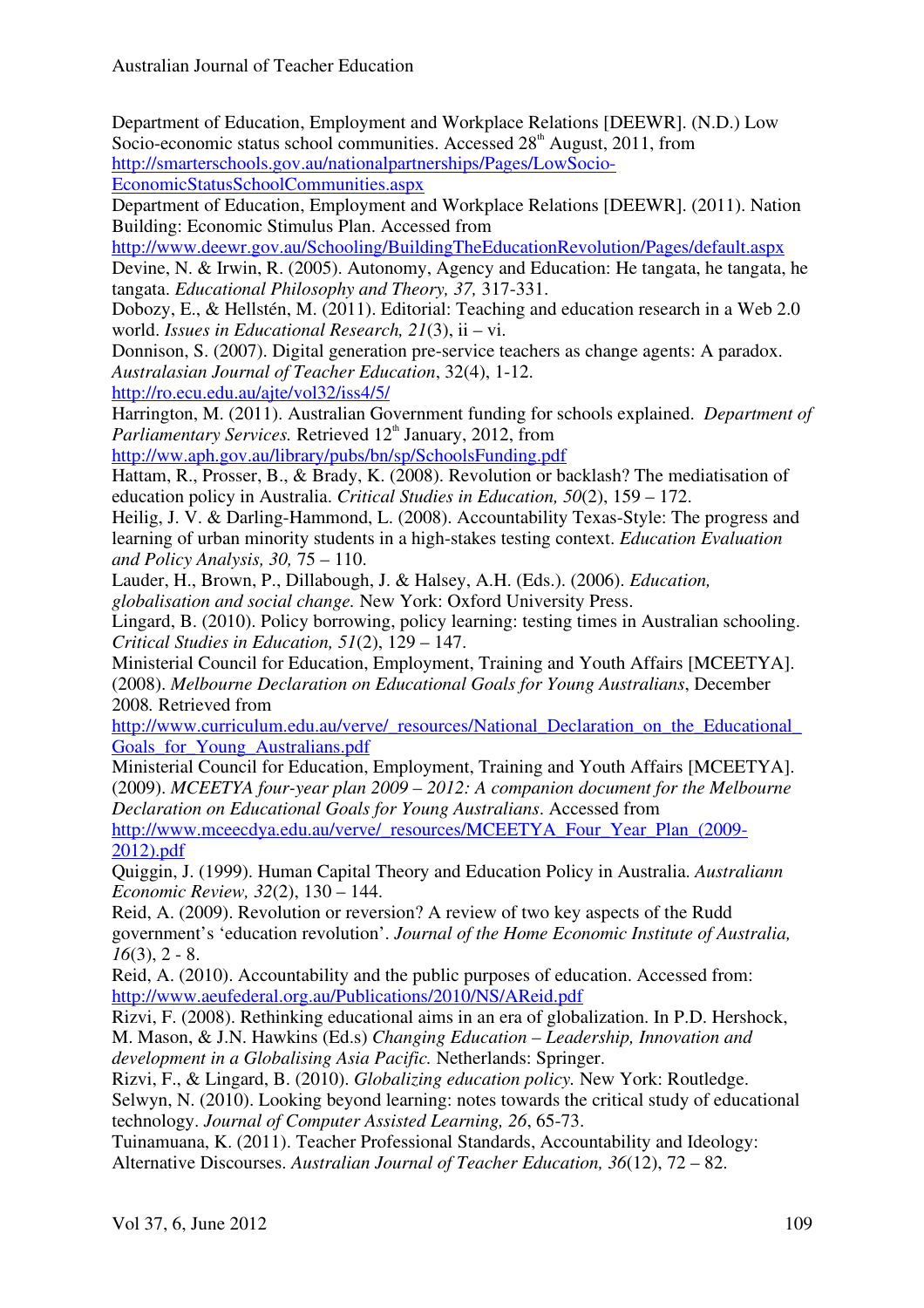Department of Education, Employment and Workplace Relations [DEEWR]. (N.D.) Low Socio-economic status school communities. Accessed  $28<sup>th</sup>$  August, 2011, from http://smarterschools.gov.au/nationalpartnerships/Pages/LowSocio-

EconomicStatusSchoolCommunities.aspx

Department of Education, Employment and Workplace Relations [DEEWR]. (2011). Nation Building: Economic Stimulus Plan. Accessed from

http://www.deewr.gov.au/Schooling/BuildingTheEducationRevolution/Pages/default.aspx Devine, N. & Irwin, R. (2005). Autonomy, Agency and Education: He tangata, he tangata, he tangata. *Educational Philosophy and Theory, 37,* 317-331.

Dobozy, E., & Hellstén, M. (2011). Editorial: Teaching and education research in a Web 2.0 world. *Issues in Educational Research, 21*(3), ii – vi.

Donnison, S. (2007). Digital generation pre-service teachers as change agents: A paradox. *Australasian Journal of Teacher Education*, 32(4), 1-12.

http://ro.ecu.edu.au/ajte/vol32/iss4/5/

Harrington, M. (2011). Australian Government funding for schools explained. *Department of Parliamentary Services.* Retrieved 12<sup>th</sup> January, 2012, from

http://ww.aph.gov.au/library/pubs/bn/sp/SchoolsFunding.pdf

Hattam, R., Prosser, B., & Brady, K. (2008). Revolution or backlash? The mediatisation of education policy in Australia. *Critical Studies in Education, 50*(2), 159 – 172.

Heilig, J. V. & Darling-Hammond, L. (2008). Accountability Texas-Style: The progress and learning of urban minority students in a high-stakes testing context. *Education Evaluation and Policy Analysis, 30,* 75 – 110.

Lauder, H., Brown, P., Dillabough, J. & Halsey, A.H. (Eds.). (2006). *Education,* 

*globalisation and social change.* New York: Oxford University Press.

Lingard, B. (2010). Policy borrowing, policy learning: testing times in Australian schooling. *Critical Studies in Education, 51*(2), 129 – 147.

Ministerial Council for Education, Employment, Training and Youth Affairs [MCEETYA]. (2008). *Melbourne Declaration on Educational Goals for Young Australians*, December 2008*.* Retrieved from

http://www.curriculum.edu.au/verve/\_resources/National\_Declaration\_on\_the\_Educational Goals\_for\_Young\_Australians.pdf

Ministerial Council for Education, Employment, Training and Youth Affairs [MCEETYA]. (2009). *MCEETYA four-year plan 2009 – 2012: A companion document for the Melbourne Declaration on Educational Goals for Young Australians*. Accessed from http://www.mceecdya.edu.au/verve/\_resources/MCEETYA\_Four\_Year\_Plan\_(2009-

2012).pdf

Quiggin, J. (1999). Human Capital Theory and Education Policy in Australia. *Australiann Economic Review, 32*(2), 130 – 144.

Reid, A. (2009). Revolution or reversion? A review of two key aspects of the Rudd government's 'education revolution'. *Journal of the Home Economic Institute of Australia, 16*(3), 2 - 8.

Reid, A. (2010). Accountability and the public purposes of education. Accessed from: http://www.aeufederal.org.au/Publications/2010/NS/AReid.pdf

Rizvi, F. (2008). Rethinking educational aims in an era of globalization. In P.D. Hershock, M. Mason, & J.N. Hawkins (Ed.s) *Changing Education – Leadership, Innovation and development in a Globalising Asia Pacific.* Netherlands: Springer.

Rizvi, F., & Lingard, B. (2010). *Globalizing education policy.* New York: Routledge. Selwyn, N. (2010). Looking beyond learning: notes towards the critical study of educational technology. *Journal of Computer Assisted Learning, 26*, 65-73.

Tuinamuana, K. (2011). Teacher Professional Standards, Accountability and Ideology: Alternative Discourses. *Australian Journal of Teacher Education, 36*(12), 72 – 82.